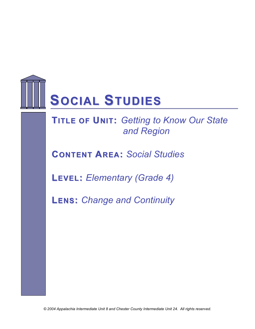

**TITLE OF UNIT: Getting to Know Our State** *and Region*

**CONTENT AREA:** *Social Studies*

**LEVEL:** *Elementary (Grade 4)*

**LENS:** *Change and Continuity*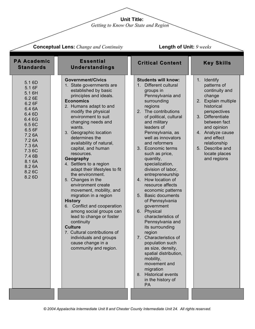**Unit Title:**

*Getting to Know Our State and Region*

| <b>Conceptual Lens:</b> Change and Continuity                                                                                                                                          |                                                                                                                                                                                                                                                                                                                                                                                                                                                                                                                                                                                                                                                                                                                                                                                               | <b>Length of Unit: 9 weeks</b>                                                                                                                                                                                                                                                                                                                                                                                                                                                                                                                                                                                                                                                                                                                                                                                                               |                                                                                                                                                                                                                                                                                       |  |  |
|----------------------------------------------------------------------------------------------------------------------------------------------------------------------------------------|-----------------------------------------------------------------------------------------------------------------------------------------------------------------------------------------------------------------------------------------------------------------------------------------------------------------------------------------------------------------------------------------------------------------------------------------------------------------------------------------------------------------------------------------------------------------------------------------------------------------------------------------------------------------------------------------------------------------------------------------------------------------------------------------------|----------------------------------------------------------------------------------------------------------------------------------------------------------------------------------------------------------------------------------------------------------------------------------------------------------------------------------------------------------------------------------------------------------------------------------------------------------------------------------------------------------------------------------------------------------------------------------------------------------------------------------------------------------------------------------------------------------------------------------------------------------------------------------------------------------------------------------------------|---------------------------------------------------------------------------------------------------------------------------------------------------------------------------------------------------------------------------------------------------------------------------------------|--|--|
| <b>PA Academic</b><br><b>Standards</b>                                                                                                                                                 | <b>Essential</b><br><b>Understandings</b>                                                                                                                                                                                                                                                                                                                                                                                                                                                                                                                                                                                                                                                                                                                                                     | <b>Critical Content</b>                                                                                                                                                                                                                                                                                                                                                                                                                                                                                                                                                                                                                                                                                                                                                                                                                      | <b>Key Skills</b>                                                                                                                                                                                                                                                                     |  |  |
| 5.1 6D<br>5.1 6F<br>5.16H<br>6.2 6E<br>6.2 6F<br>6.4 6A<br>6.4 6D<br>6.46G<br>6.5 6C<br>6.5 6F<br>7.2 6A<br>7.2 6A<br>7.3 6A<br>7.36C<br>7.4 6B<br>8.1 6A<br>8.2 6A<br>8.26C<br>8.2 6D | <b>Government/Civics</b><br>1. State governments are<br>established by basic<br>principles and ideals.<br><b>Economics</b><br>2. Humans adapt to and<br>modify the physical<br>environment to suit<br>changing needs and<br>wants.<br>3. Geographic location<br>determines the<br>availability of natural,<br>capital, and human<br>resources.<br>Geography<br>4. Settlers to a region<br>adapt their lifestyles to fit<br>the environment.<br>5. Changes in the<br>environment create<br>movement, mobility, and<br>migration in a region<br><b>History</b><br>Conflict and cooperation<br>6.<br>among social groups can<br>lead to change or foster<br>continuity<br><b>Culture</b><br>7. Cultural contributions of<br>individuals and groups<br>cause change in a<br>community and region. | <b>Students will know:</b><br>Different cultural<br>1 <sup>1</sup><br>groups in<br>Pennsylvania and<br>surrounding<br>regions<br>The contributions<br>2.<br>of political, cultural<br>and military<br>leaders of<br>Pennsylvania, as<br>well as innovators<br>and reformers<br>3. Economic terms<br>such as price,<br>quantity,<br>specialization,<br>division of labor,<br>entrepreneurship<br>4. How location of<br>resource affects<br>economic patterns<br><b>Basic documents</b><br>5 <sub>1</sub><br>of Pennsylvania<br>government<br>6.<br>Physical<br>characteristics of<br>Pennsylvania and<br>its surrounding<br>region<br>Characteristics of<br>7.<br>population such<br>as size, density,<br>spatial distribution,<br>mobility,<br>movement and<br>migration<br><b>Historical events</b><br>8.<br>in the history of<br><b>PA</b> | 1. Identify<br>patterns of<br>continuity and<br>change<br>Explain multiple<br>2.<br>historical<br>perspectives<br>3. Differentiate<br>between fact<br>and opinion<br>4. Analyze cause<br>and effect<br>relationship<br>5 <sub>1</sub><br>Describe and<br>locate places<br>and regions |  |  |
|                                                                                                                                                                                        |                                                                                                                                                                                                                                                                                                                                                                                                                                                                                                                                                                                                                                                                                                                                                                                               |                                                                                                                                                                                                                                                                                                                                                                                                                                                                                                                                                                                                                                                                                                                                                                                                                                              |                                                                                                                                                                                                                                                                                       |  |  |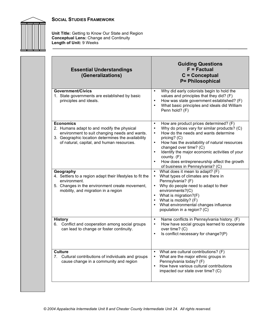



**Unit Title:** Getting to Know Our State and Region **Conceptual Lens:** Change and Continuity **Length of Unit:** 9 Weeks

| <b>Essential Understandings</b><br>(Generalizations)                                                                                                                                                               | <b>Guiding Questions</b><br>$F = Factorual$<br>$C =$ Conceptual<br><b>P= Philosophical</b>                                                                                                                                                                                                                                                                                                                                                          |
|--------------------------------------------------------------------------------------------------------------------------------------------------------------------------------------------------------------------|-----------------------------------------------------------------------------------------------------------------------------------------------------------------------------------------------------------------------------------------------------------------------------------------------------------------------------------------------------------------------------------------------------------------------------------------------------|
| <b>Government/Civics</b><br>1. State governments are established by basic<br>principles and ideals.                                                                                                                | Why did early colonists begin to hold the<br>$\bullet$<br>values and principles that they did? (F)<br>How was state government established? (F)<br>$\bullet$<br>What basic principles and ideals did William<br>$\bullet$<br>Penn hold? (F)                                                                                                                                                                                                         |
| <b>Economics</b><br>2. Humans adapt to and modify the physical<br>environment to suit changing needs and wants.<br>3. Geographic location determines the availability<br>of natural, capital, and human resources. | How are product prices determined? (F)<br>$\bullet$<br>Why do prices vary for similar products? (C)<br>$\bullet$<br>How do the needs and wants determine<br>٠<br>pricing? (C)<br>How has the availability of natural resources<br>$\bullet$<br>changed over time? (C)<br>Identify the major economic activities of your<br>$\bullet$<br>county. (F)<br>How does entrepreneurship affect the growth<br>$\bullet$<br>of business in Pennsylvania? (C) |
| Geography<br>4. Settlers to a region adapt their lifestyles to fit the<br>environment.<br>5. Changes in the environment create movement,<br>mobility, and migration in a region                                    | What does it mean to adapt? (F)<br>$\bullet$<br>What types of climates are there in<br>٠<br>Pennsylvania? (F)<br>Why do people need to adapt to their<br>$\bullet$<br>environments?(C)<br>What is migration?(F)<br>What is mobility? (F)<br>What environmental changes influence<br>population in a region? (C)                                                                                                                                     |
| <b>History</b><br>6. Conflict and cooperation among social groups<br>can lead to change or foster continuity.                                                                                                      | Name conflicts in Pennsylvania history. (F)<br>$\bullet$<br>How have social groups learned to cooperate<br>$\bullet$<br>over time? (C)<br>Is conflict necessary for change?(P)<br>$\bullet$                                                                                                                                                                                                                                                         |
| <b>Culture</b><br>7. Cultural contributions of individuals and groups<br>cause change in a community and region                                                                                                    | What are cultural contributions? (F)<br>$\bullet$<br>What are the major ethnic groups in<br>$\bullet$<br>Pennsylvania today? (F)<br>How have various cultural contributions<br>$\bullet$<br>impacted our state over time? (C)                                                                                                                                                                                                                       |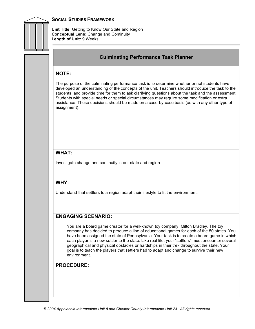

**Unit Title:** Getting to Know Our State and Region **Conceptual Lens:** Change and Continuity **Length of Unit:** 9 Weeks

#### **Culminating Performance Task Planner**

#### **NOTE:**

The purpose of the culminating performance task is to determine whether or not students have developed an understanding of the concepts of the unit. Teachers should introduce the task to the students, and provide time for them to ask clarifying questions about the task and the assessment. Students with special needs or special circumstances may require some modification or extra assistance. These decisions should be made on a case-by-case basis (as with any other type of assignment).

## **WHAT:**

Investigate change and continuity in our state and region.

#### **WHY:**

Understand that settlers to a region adapt their lifestyle to fit the environment.

#### **ENGAGING SCENARIO:**

You are a board game creator for a well-known toy company, Milton Bradley. The toy company has decided to produce a line of educational games for each of the 50 states. You have been assigned the state of Pennsylvania. Your task is to create a board game in which each player is a new settler to the state. Like real life, your "settlers" must encounter several geographical and physical obstacles or hardships in their trek throughout the state. Your goal is to teach the players that settlers had to adapt and change to survive their new environment.

#### **PROCEDURE:**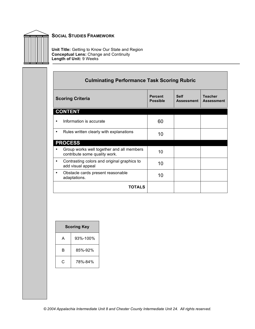

**Unit Title:** Getting to Know Our State and Region **Conceptual Lens:** Change and Continuity **Length of Unit:** 9 Weeks

|   | <b>Culminating Performance Task Scoring Rubric</b>                         |                                   |                                  |                                     |  |
|---|----------------------------------------------------------------------------|-----------------------------------|----------------------------------|-------------------------------------|--|
|   | <b>Scoring Criteria</b>                                                    | <b>Percent</b><br><b>Possible</b> | <b>Self</b><br><b>Assessment</b> | <b>Teacher</b><br><b>Assessment</b> |  |
|   | <b>CONTENT</b>                                                             |                                   |                                  |                                     |  |
|   | Information is accurate                                                    | 60                                |                                  |                                     |  |
|   | Rules written clearly with explanations                                    | 10                                |                                  |                                     |  |
|   | <b>PROCESS</b>                                                             |                                   |                                  |                                     |  |
|   | Group works well together and all members<br>contribute some quality work. | 10                                |                                  |                                     |  |
| ٠ | Contrasting colors and original graphics to<br>add visual appeal           | 10                                |                                  |                                     |  |
| ٠ | Obstacle cards present reasonable<br>adaptations.                          | 10                                |                                  |                                     |  |
|   | TOTALS                                                                     |                                   |                                  |                                     |  |

| <b>Scoring Key</b> |          |  |  |
|--------------------|----------|--|--|
| A                  | 93%-100% |  |  |
| R                  | 85%-92%  |  |  |
| C                  | 78%-84%  |  |  |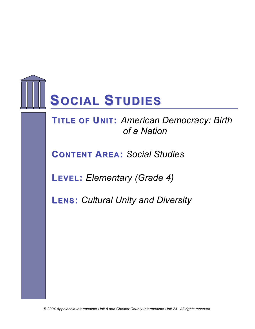

**FTIRTLAE MOFEUWNIOT:R***A***K** *m***K***e***S***rican Democracy: Birth of a Nation*

**CONTENT AREA:** *Social Studies*

**LEVEL:** *Elementary (Grade 4)*

**LENS:** *Cultural Unity and Diversity*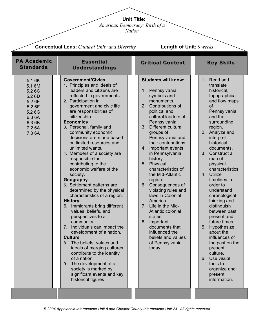**Unit Title:**

*American Democracy: Birth of a* 

*Nation*

| <b>Conceptual Lens:</b> Cultural Unity and Diversity                                                     |                                                                                                                                                                                                                                                                                                                                                                                                                                                                                                                                                                                                                                                                                                                                                                                                                                                                                                                                                                                                            |                                                                                                                                                                                                                                                                                                                                                                                                                                                                                                                                                                                                                                                                      | <b>Length of Unit: 9 weeks</b>                                                                                                                                                                                                                                                                                                                                                                                                                                                                                                                                                                                     |  |  |
|----------------------------------------------------------------------------------------------------------|------------------------------------------------------------------------------------------------------------------------------------------------------------------------------------------------------------------------------------------------------------------------------------------------------------------------------------------------------------------------------------------------------------------------------------------------------------------------------------------------------------------------------------------------------------------------------------------------------------------------------------------------------------------------------------------------------------------------------------------------------------------------------------------------------------------------------------------------------------------------------------------------------------------------------------------------------------------------------------------------------------|----------------------------------------------------------------------------------------------------------------------------------------------------------------------------------------------------------------------------------------------------------------------------------------------------------------------------------------------------------------------------------------------------------------------------------------------------------------------------------------------------------------------------------------------------------------------------------------------------------------------------------------------------------------------|--------------------------------------------------------------------------------------------------------------------------------------------------------------------------------------------------------------------------------------------------------------------------------------------------------------------------------------------------------------------------------------------------------------------------------------------------------------------------------------------------------------------------------------------------------------------------------------------------------------------|--|--|
| <b>PA Academic</b><br><b>Standards</b>                                                                   | <b>Essential</b><br><b>Understandings</b>                                                                                                                                                                                                                                                                                                                                                                                                                                                                                                                                                                                                                                                                                                                                                                                                                                                                                                                                                                  | <b>Critical Content</b>                                                                                                                                                                                                                                                                                                                                                                                                                                                                                                                                                                                                                                              | <b>Key Skills</b>                                                                                                                                                                                                                                                                                                                                                                                                                                                                                                                                                                                                  |  |  |
| 5.1 6K<br>5.1 6M<br>5.26C<br>5.2 6D<br>5.2 6E<br>5.2 6F<br>5.26G<br>6.3 6A<br>6.3 6B<br>7.2 6A<br>7.3 6A | <b>Government/Civics</b><br>1. Principles and ideals of<br>leaders and citizens are<br>reflected in governments.<br>2. Participation in<br>government and civic life<br>are responsibilities of<br>citizenship.<br><b>Economics</b><br>3. Personal, family and<br>community economic<br>decisions are made based<br>on limited resources and<br>unlimited wants.<br>4. Members of a society are<br>responsible for<br>contributing to the<br>economic welfare of the<br>society.<br>Geography<br>5. Settlement patterns are<br>determined by the physical<br>characteristics of a region.<br><b>History</b><br>6. Immigrants bring different<br>values, beliefs, and<br>perspectives to a<br>community.<br>Individuals can impact the<br>7.<br>development of a nation.<br><b>Culture</b><br>8. The beliefs, values and<br>ideals of merging cultures<br>contribute to the identity<br>of a nation.<br>9. The development of a<br>society is marked by<br>significant events and key<br>historical figures | <b>Students will know:</b><br>1. Pennsylvania<br>symbols and<br>monuments.<br>Contributions of<br>2 <sub>1</sub><br>political and<br>cultural leaders of<br>Pennsylvania.<br>3 <sub>1</sub><br>Different cultural<br>groups of<br>Pennsylvania and<br>their contributions<br>Important events<br>4.<br>in Pennsylvania<br>history<br>Physical<br>5.<br>characteristics of<br>the Mid-Atlantic<br>region.<br>6. Consequences of<br>violating rules and<br>laws in Colonial<br>America.<br>Life in the Mid-<br>7 <sub>1</sub><br>Atlantic colonial<br>states<br>Important<br>8.<br>documents that<br>influenced the<br>beliefs and values<br>of Pennsylvania<br>today. | Read and<br>1 <sub>1</sub><br>translate<br>historical,<br>topographical<br>and flow maps<br><b>of</b><br>Pennsylvania<br>and the<br>surrounding<br>region.<br>2. Analyze and<br>interpret<br>historical<br>documents.<br>3.<br>Construct a<br>map of<br>physical<br>characteristics.<br>4. Utilize<br>timelines in<br>order to<br>understand<br>chronological<br>thinking and<br>distinguish<br>between past,<br>present and<br>future times.<br>5.<br>Hypothesize<br>about the<br>influences of<br>the past on the<br>present<br>culture.<br>6. Use visual<br>tools to<br>organize and<br>present<br>information. |  |  |
|                                                                                                          |                                                                                                                                                                                                                                                                                                                                                                                                                                                                                                                                                                                                                                                                                                                                                                                                                                                                                                                                                                                                            |                                                                                                                                                                                                                                                                                                                                                                                                                                                                                                                                                                                                                                                                      |                                                                                                                                                                                                                                                                                                                                                                                                                                                                                                                                                                                                                    |  |  |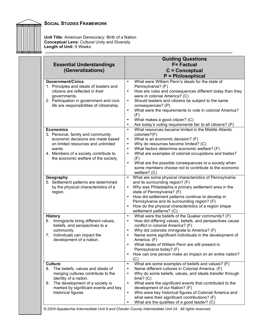

**Unit Title:** American Democracy: Birth of a Nation **Conceptual Lens:** Cultural Unity and Diversity **Length of Unit:** 9 Weeks

|                                                                                                                                                                                                                                                                                                                                                                                                                                                | <b>Guiding Questions</b>                                                                                                                                                                                                                                                                                                                                                                                                                                                                                                                                                                                                                                                                                                                                                                                                                                                                                                                            |
|------------------------------------------------------------------------------------------------------------------------------------------------------------------------------------------------------------------------------------------------------------------------------------------------------------------------------------------------------------------------------------------------------------------------------------------------|-----------------------------------------------------------------------------------------------------------------------------------------------------------------------------------------------------------------------------------------------------------------------------------------------------------------------------------------------------------------------------------------------------------------------------------------------------------------------------------------------------------------------------------------------------------------------------------------------------------------------------------------------------------------------------------------------------------------------------------------------------------------------------------------------------------------------------------------------------------------------------------------------------------------------------------------------------|
| <b>Essential Understandings</b>                                                                                                                                                                                                                                                                                                                                                                                                                | <b>F= Factual</b>                                                                                                                                                                                                                                                                                                                                                                                                                                                                                                                                                                                                                                                                                                                                                                                                                                                                                                                                   |
| (Generalizations)                                                                                                                                                                                                                                                                                                                                                                                                                              | $C =$ Conceptual                                                                                                                                                                                                                                                                                                                                                                                                                                                                                                                                                                                                                                                                                                                                                                                                                                                                                                                                    |
|                                                                                                                                                                                                                                                                                                                                                                                                                                                | <b>P</b> = Philosophical                                                                                                                                                                                                                                                                                                                                                                                                                                                                                                                                                                                                                                                                                                                                                                                                                                                                                                                            |
| <b>Government/Civics</b><br>1. Principles and ideals of leaders and<br>citizens are reflected in their<br>governments.<br>2. Participation in government and civic<br>life are responsibilities of citizenship.<br><b>Economics</b><br>3. Personal, family and community<br>economic decisions are made based<br>on limited resources and unlimited<br>wants.<br>4. Members of a society contribute to<br>the economic welfare of the society. | What were William Penn's ideals for the state of<br>$\bullet$<br>Pennsylvania? (F)<br>How are rules and consequences different today than they<br>$\bullet$<br>were in colonial America? (C)<br>Should leaders and citizens be subject to the same<br>$\bullet$<br>consequences? (P)<br>What were the requirements to vote in colonial America?<br>$\bullet$<br>(F)<br>What makes a good citizen? (C)<br>$\bullet$<br>Are today's voting requirements fair to all citizens? (P)<br>$\bullet$<br>What resources became limited in the Middle Atlantic<br>$\bullet$<br>colonies?(F)<br>What is an economic decision? (F)<br>$\bullet$<br>Why do resources become limited? (C)<br>$\bullet$<br>What factors determine economic welfare? (F)<br>What are examples of colonial occupations and trades?<br>$\bullet$<br>(F)<br>What are the possible consequences to a society when<br>$\bullet$<br>some members choose not to contribute to the economic |
| Geography<br>5. Settlement patterns are determined<br>by the physical characteristics of a<br>region.                                                                                                                                                                                                                                                                                                                                          | welfare? (C)<br>What are some physical characteristics of Pennsylvania<br>$\bullet$<br>and its surrounding region? (F)<br>Why was Philadelphia a primary settlement area in the<br>$\bullet$<br>state of Pennsylvania? (F)<br>How did settlement patterns continue to develop in<br>Pennsylvania and its surrounding region? (F)<br>How do the physical characteristics of a region shape                                                                                                                                                                                                                                                                                                                                                                                                                                                                                                                                                           |
| <b>History</b><br>6. Immigrants bring different values,<br>beliefs, and perspectives to a<br>community.<br>Individuals can impact the<br>7 <sub>1</sub><br>development of a nation.                                                                                                                                                                                                                                                            | settlement patterns? (C)<br>What were the beliefs of the Quaker community? (F)<br>$\bullet$<br>How did differing values, beliefs, and perspectives cause<br>$\bullet$<br>conflict in colonial America? (F)<br>Why did colonists immigrate to America? (F)<br>$\bullet$<br>Name some significant individuals in the development of<br>$\bullet$<br>America. (F)<br>What ideals of William Penn are still present in<br>$\bullet$<br>Pennsylvania today? (F)<br>How can one person make an impact on an entire nation?<br>$\bullet$<br>(C)                                                                                                                                                                                                                                                                                                                                                                                                            |
| <b>Culture</b><br>The beliefs, values and ideals of<br>8.<br>merging cultures contribute to the<br>identity of a nation.<br>The development of a society is<br>9.<br>marked by significant events and key<br>historical figures                                                                                                                                                                                                                | What are some examples of beliefs and values? (F)<br>$\bullet$<br>Name different cultures in Colonial America. (F)<br>٠<br>Why do some beliefs, values, and ideals transfer through<br>$\bullet$<br>time? (C)<br>What were the significant events that contributed to the<br>$\bullet$<br>development of our Nation? (F)<br>Who were key historical figures of Colonial America and<br>$\bullet$<br>what were their significant contributions? (F)<br>What are the qualities of a good leader? (C)<br>$\bullet$                                                                                                                                                                                                                                                                                                                                                                                                                                     |

*© 2004 Appalachia Intermediate Unit 8 and Chester County Intermediate Unit 24. All rights reserved.*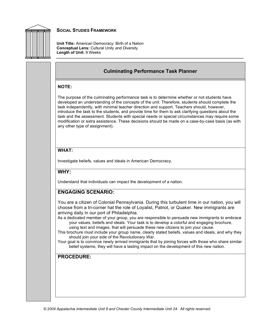

**Unit Title:** American Democracy: Birth of a Nation **Conceptual Lens:** Cultural Unity and Diversity **Length of Unit:** 9 Weeks

## **Culminating Performance Task Planner**

#### **NOTE:**

The purpose of the culminating performance task is to determine whether or not students have developed an understanding of the concepts of the unit. Therefore, students should complete the task independently, with minimal teacher direction and support. Teachers should, however, introduce the task to the students, and provide time for them to ask clarifying questions about the task and the assessment. Students with special needs or special circumstances may require some modification or extra assistance. These decisions should be made on a case-by-case basis (as with any other type of assignment).

## **WHAT:**

Investigate beliefs, values and ideals in American Democracy.

#### **WHY:**

Understand that individuals can impact the development of a nation.

## **ENGAGING SCENARIO:**

You are a citizen of Colonial Pennsylvania. During this turbulent time in our nation, you will choose from a tri-corner hat the role of Loyalist, Patriot, or Quaker. New immigrants are arriving daily in our port of Philadelphia.

As a dedicated member of your group, you are responsible to persuade new immigrants to embrace your values, beliefs and ideals. Your task is to develop a colorful and engaging brochure, using text and images, that will persuade these new citizens to join your cause.

- This brochure must include your group name, clearly stated beliefs, values and ideals, and why they should join your side of the Revolutionary War.
- Your goal is to convince newly arrived immigrants that by joining forces with those who share similar belief systems, they will have a lasting impact on the development of this new nation.

# **PROCEDURE:**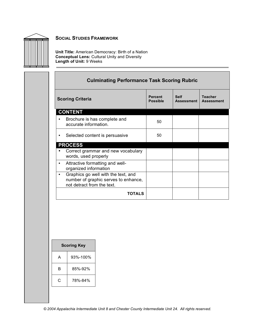

**Unit Title:** American Democracy: Birth of a Nation **Conceptual Lens:** Cultural Unity and Diversity **Length of Unit:** 9 Weeks

| <b>Culminating Performance Task Scoring Rubric</b>                                                                                      |    |  |  |  |  |
|-----------------------------------------------------------------------------------------------------------------------------------------|----|--|--|--|--|
| <b>Teacher</b><br><b>Percent</b><br><b>Self</b><br><b>Scoring Criteria</b><br><b>Possible</b><br><b>Assessment</b><br><b>Assessment</b> |    |  |  |  |  |
| <b>CONTENT</b>                                                                                                                          |    |  |  |  |  |
| Brochure is has complete and<br>accurate information.                                                                                   | 50 |  |  |  |  |
| Selected content is persuasive<br>٠                                                                                                     | 50 |  |  |  |  |
| <b>PROCESS</b>                                                                                                                          |    |  |  |  |  |
| Correct grammar and new vocabulary<br>words, used properly                                                                              |    |  |  |  |  |
| Attractive formatting and well-<br>٠<br>organized information                                                                           |    |  |  |  |  |
| Graphics go well with the text, and<br>$\bullet$<br>number of graphic serves to enhance,<br>not detract from the text.                  |    |  |  |  |  |
| TOTALS                                                                                                                                  |    |  |  |  |  |

| <b>Scoring Key</b> |          |  |  |
|--------------------|----------|--|--|
| А                  | 93%-100% |  |  |
| R                  | 85%-92%  |  |  |
| C                  | 78%-84%  |  |  |
|                    |          |  |  |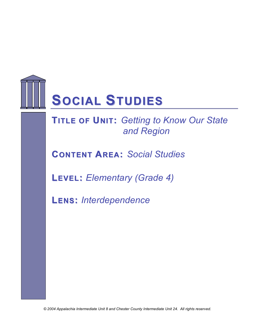

**RIFLE OF UNIT:** Getting to Know Our State *and Region*

**CONTENT AREA:** *Social Studies*

**LEVEL:** *Elementary (Grade 4)*

**LENS:** *Interdependence*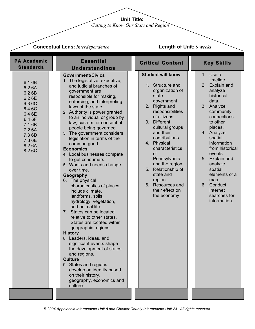**Unit Title:**

*Getting to Know Our State and Region*

| <b>Conceptual Lens: Interdependence</b> |  |
|-----------------------------------------|--|
|-----------------------------------------|--|

# **Length of Unit:** *9 weeks*

| <b>PA Academic</b><br><b>Standards</b>                                                                                                 | <b>Essential</b><br><b>Understandings</b>                                                                                                                                                                                                                                                                                                                                                                                                                                                                                                                                                                                                                                                                                                                                                                                                                                                                                                                                                                                                    | <b>Critical Content</b>                                                                                                                                                                                                                                                                                                                                                                             | <b>Key Skills</b>                                                                                                                                                                                                                                                                                                                           |
|----------------------------------------------------------------------------------------------------------------------------------------|----------------------------------------------------------------------------------------------------------------------------------------------------------------------------------------------------------------------------------------------------------------------------------------------------------------------------------------------------------------------------------------------------------------------------------------------------------------------------------------------------------------------------------------------------------------------------------------------------------------------------------------------------------------------------------------------------------------------------------------------------------------------------------------------------------------------------------------------------------------------------------------------------------------------------------------------------------------------------------------------------------------------------------------------|-----------------------------------------------------------------------------------------------------------------------------------------------------------------------------------------------------------------------------------------------------------------------------------------------------------------------------------------------------------------------------------------------------|---------------------------------------------------------------------------------------------------------------------------------------------------------------------------------------------------------------------------------------------------------------------------------------------------------------------------------------------|
| 6.1 6B<br>6.2 6A<br>6.2 6B<br>6.2 6E<br>6.36C<br>6.4 6C<br>6.4 6E<br>6.4 6F<br>7.1 6B<br>7.2 6A<br>7.3 6D<br>7.3 6E<br>8.2 6A<br>8.26C | <b>Government/Civics</b><br>1. The legislative, executive,<br>and judicial branches of<br>government are<br>responsible for making,<br>enforcing, and interpreting<br>laws of the state.<br>2. Authority is power granted<br>to an individual or group by<br>law, custom, or consent of<br>people being governed.<br>3. The government considers<br>legislation in terms of the<br>common good.<br><b>Economics</b><br>4. Local businesses compete<br>to get consumers.<br>5. Wants and needs change<br>over time.<br>Geography<br>6. The physical<br>characteristics of places<br>include climate,<br>landforms, soils,<br>hydrology, vegetation,<br>and animal life.<br>7. States can be located<br>relative to other states.<br>States are located within<br>geographic regions<br><b>History</b><br>8. Leaders, ideas, and<br>significant events shape<br>the development of states<br>and regions.<br><b>Culture</b><br>9. States and regions<br>develop an identity based<br>on their history,<br>geography, economics and<br>culture. | <b>Student will know:</b><br>1. Structure and<br>organization of<br>state<br>government<br><b>Rights and</b><br>2.<br>responsibilities<br>of citizens<br>3. Different<br>cultural groups<br>and their<br>contributions<br>4. Physical<br>characteristics<br>of<br>Pennsylvania<br>and the region<br>5. Relationship of<br>state and<br>region<br>6. Resources and<br>their effect on<br>the economy | 1. Use a<br>timeline.<br>2. Explain and<br>analyze<br>historical<br>data.<br>3. Analyze<br>community<br>connections<br>to other<br>places.<br>4. Analyze<br>spatial<br>information<br>from historical<br>events.<br>5. Explain and<br>analyze<br>spatial<br>elements of a<br>map.<br>6. Conduct<br>Internet<br>searches for<br>information. |
|                                                                                                                                        |                                                                                                                                                                                                                                                                                                                                                                                                                                                                                                                                                                                                                                                                                                                                                                                                                                                                                                                                                                                                                                              |                                                                                                                                                                                                                                                                                                                                                                                                     |                                                                                                                                                                                                                                                                                                                                             |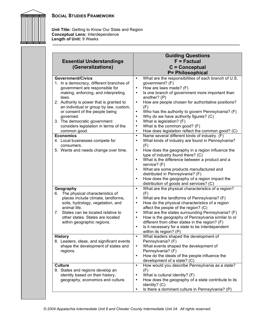

**Unit Title:** Getting to Know Our State and Region **Conceptual Lens:** Interdependence **Length of Unit:** 9 Weeks

| <b>Essential Understandings</b><br>(Generalizations)                                                                                                                                                                                                                                                                                                                                                                                                                                              | <b>Guiding Questions</b><br>$F = Factorual$<br>$C =$ Conceptual<br>P= Philosophical                                                                                                                                                                                                                                                                                                                                                                                                                                                                                                                                                                                                                                                                                                                                                                                                               |
|---------------------------------------------------------------------------------------------------------------------------------------------------------------------------------------------------------------------------------------------------------------------------------------------------------------------------------------------------------------------------------------------------------------------------------------------------------------------------------------------------|---------------------------------------------------------------------------------------------------------------------------------------------------------------------------------------------------------------------------------------------------------------------------------------------------------------------------------------------------------------------------------------------------------------------------------------------------------------------------------------------------------------------------------------------------------------------------------------------------------------------------------------------------------------------------------------------------------------------------------------------------------------------------------------------------------------------------------------------------------------------------------------------------|
| <b>Government/Civics</b><br>1. In a democracy, different branches of<br>government are responsible for<br>making, enforcing, and interpreting<br>laws.<br>2. Authority is power that is granted to<br>an individual or group by law, custom,<br>or consent of the people being<br>governed.<br>3. The democratic government<br>considers legislation in terms of the<br>common good.<br><b>Economics</b><br>4. Local businesses compete for<br>consumers.<br>5. Wants and needs change over time. | What are the responsibilities of each branch of U.S.<br>$\bullet$<br>government? (F)<br>How are laws made? (F)<br>$\bullet$<br>Is one branch of government more important than<br>$\bullet$<br>another? (P)<br>How are people chosen for authoritative positions?<br>$\bullet$<br>(F)<br>Who has the authority to govern Pennsylvania? (F)<br>$\bullet$<br>Why do we have authority figures? (C)<br>$\bullet$<br>What is legislation? (F)<br>$\bullet$<br>What is the common good? (F)<br>$\bullet$<br>How does legislation reflect the common good? (C)<br>$\bullet$<br>Name several different kinds of industry. (F)<br>$\bullet$<br>What kinds of industry are found in Pennsylvania?<br>$\bullet$<br>(F)<br>How does the geography in a region influence the<br>$\bullet$<br>type of industry found there? (C)<br>What is the difference between a product and a<br>$\bullet$<br>service? (F) |
|                                                                                                                                                                                                                                                                                                                                                                                                                                                                                                   | What are some products manufactured and<br>$\bullet$<br>distributed in Pennsylvania? (F)<br>How does the geography of a region impact the<br>$\bullet$<br>distribution of goods and services? (C)                                                                                                                                                                                                                                                                                                                                                                                                                                                                                                                                                                                                                                                                                                 |
| Geography<br>The physical characteristics of<br>6.<br>places include climate, landforms,<br>soils, hydrology, vegetation, and<br>animal life.<br>7.<br>States can be located relative to<br>other states. States are located<br>within geographic regions.                                                                                                                                                                                                                                        | What are the physical characteristics of a region?<br>$\bullet$<br>(F)<br>What are the landforms of Pennsylvania? (F)<br>$\bullet$<br>How do the physical characteristics of a region<br>$\bullet$<br>affect the people of the region? (C)<br>What are the states surrounding Pennsylvania? (F)<br>$\bullet$<br>How is the geography of Pennsylvania similar to or<br>$\bullet$<br>different from other states in the region? (F)<br>Is it necessary for a state to be interdependent<br>$\bullet$<br>within its region? (P)                                                                                                                                                                                                                                                                                                                                                                      |
| Historv<br>8. Leaders, ideas, and significant events<br>shape the development of states and<br>regions.                                                                                                                                                                                                                                                                                                                                                                                           | What leaders shaped the development of<br>$\bullet$<br>Pennsylvania? (F)<br>What events shaped the development of<br>$\bullet$<br>Pennsylvania? (F)<br>How do the ideals of the people influence the<br>$\bullet$<br>development of a state? (C)                                                                                                                                                                                                                                                                                                                                                                                                                                                                                                                                                                                                                                                  |
| <b>Culture</b><br>9. States and regions develop an<br>identity based on their history,<br>geography, economics and culture.                                                                                                                                                                                                                                                                                                                                                                       | How would you describe Pennsylvania as a state?<br>$\bullet$<br>(F)<br>What is cultural identity? (F)<br>$\bullet$<br>How does the geography of a state contribute to its<br>$\bullet$<br>identity? (C)<br>Is there a dominant culture in Pennsylvania? (P)<br>$\bullet$                                                                                                                                                                                                                                                                                                                                                                                                                                                                                                                                                                                                                          |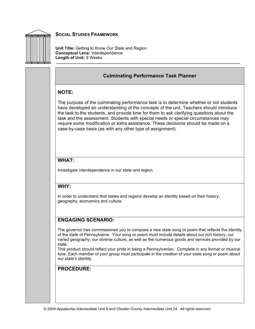

**Unit Title:** Getting to Know Our State and Region **Conceptual Lens:** Interdependence **Length of Unit:** 9 Weeks

## **Culminating Performance Task Planner**

## **NOTE:**

The purpose of the culminating performance task is to determine whether or not students have developed an understanding of the concepts of the unit. Teachers should introduce the task to the students, and provide time for them to ask clarifying questions about the task and the assessment. Students with special needs or special circumstances may require some modification or extra assistance. These decisions should be made on a case-by-case basis (as with any other type of assignment).

# **WHAT:**

Investigate interdependence in our state and region.

## **WHY:**

In order to understand that states and regions develop an identity based on their history, geography, economics and culture.

# **ENGAGING SCENARIO:**

The governor has commissioned you to compose a new state song or poem that reflects the identity of the state of Pennsylvania. Your song or poem must include details about our rich history, our varied geography, our diverse culture, as well as the numerous goods and services provided by our state.

This product should reflect your pride in being a Pennsylvanian. Complete in any format or musical tune. Each member of your group must participate in the creation of your state song or poem about our state's identity.

## **PROCEDURE:**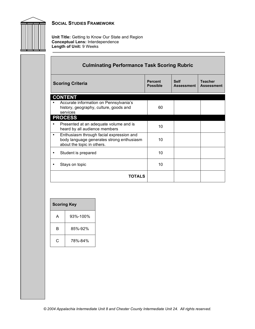

**Unit Title:** Getting to Know Our State and Region **Conceptual Lens:** Interdependence **Length of Unit:** 9 Weeks

|                         | <b>Culminating Performance Task Scoring Rubric</b>                                                                  |                                   |                                  |                                     |  |
|-------------------------|---------------------------------------------------------------------------------------------------------------------|-----------------------------------|----------------------------------|-------------------------------------|--|
| <b>Scoring Criteria</b> |                                                                                                                     | <b>Percent</b><br><b>Possible</b> | <b>Self</b><br><b>Assessment</b> | <b>Teacher</b><br><b>Assessment</b> |  |
|                         | <b>CONTENT</b>                                                                                                      |                                   |                                  |                                     |  |
|                         | Accurate information on Pennsylvania's<br>history, geography, culture, goods and<br>services                        | 60                                |                                  |                                     |  |
|                         | <b>PROCESS</b>                                                                                                      |                                   |                                  |                                     |  |
|                         | Presented at an adequate volume and is<br>heard by all audience members                                             | 10                                |                                  |                                     |  |
| $\bullet$               | Enthusiasm through facial expression and<br>body language generates strong enthusiasm<br>about the topic in others. | 10                                |                                  |                                     |  |
|                         | Student is prepared                                                                                                 | 10                                |                                  |                                     |  |
|                         | Stays on topic                                                                                                      | 10                                |                                  |                                     |  |
|                         | <b>TOTALS</b>                                                                                                       |                                   |                                  |                                     |  |

| <b>Scoring Key</b> |          |
|--------------------|----------|
| A                  | 93%-100% |
| R                  | 85%-92%  |
| C                  | 78%-84%  |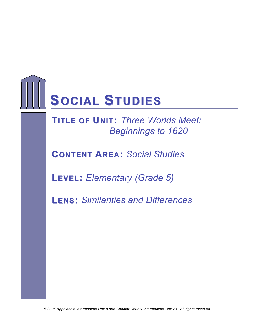

**TITLE OF UNIT: Three Worlds Meet:** *Beginnings to 1620*

**CONTENT AREA:** *Social Studies*

**LEVEL:** *Elementary (Grade 5)*

**LENS:** *Similarities and Differences*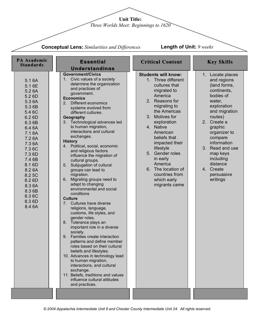**Unit Title:**

*Three Worlds Meet: Beginnings to 1620*

|                                                                                                                                                                                                                                                    | <b>Conceptual Lens:</b> Similarities and Differences                                                                                                                                                                                                                                                                                                                                                                                                                                                                                                                                                                                                                                                                                                                                                                                                                                                                                                                                                                                                                                                                                                                       | <b>Length of Unit: 9 weeks</b>                                                                                                                                                                                                                                                                                                                                           |                                                                                                                                                                                                                                                                                                     |
|----------------------------------------------------------------------------------------------------------------------------------------------------------------------------------------------------------------------------------------------------|----------------------------------------------------------------------------------------------------------------------------------------------------------------------------------------------------------------------------------------------------------------------------------------------------------------------------------------------------------------------------------------------------------------------------------------------------------------------------------------------------------------------------------------------------------------------------------------------------------------------------------------------------------------------------------------------------------------------------------------------------------------------------------------------------------------------------------------------------------------------------------------------------------------------------------------------------------------------------------------------------------------------------------------------------------------------------------------------------------------------------------------------------------------------------|--------------------------------------------------------------------------------------------------------------------------------------------------------------------------------------------------------------------------------------------------------------------------------------------------------------------------------------------------------------------------|-----------------------------------------------------------------------------------------------------------------------------------------------------------------------------------------------------------------------------------------------------------------------------------------------------|
| PA Academic<br><b>Standards</b>                                                                                                                                                                                                                    | <b>Essential</b><br><b>Understandings</b>                                                                                                                                                                                                                                                                                                                                                                                                                                                                                                                                                                                                                                                                                                                                                                                                                                                                                                                                                                                                                                                                                                                                  | <b>Critical Content</b>                                                                                                                                                                                                                                                                                                                                                  | <b>Key Skills</b>                                                                                                                                                                                                                                                                                   |
| 5.16A<br>5.1 6E<br>5.2 6A<br>5.2 6D<br>5.3 6A<br>5.3 6B<br>5.4 6C<br>6.2 6D<br>6.3 6B<br>6.4 6A<br>7.16A<br>7.2 6A<br>7.3 6A<br>7.36C<br>7.3 6D<br>7.4 6B<br>8.1 6D<br>8.2 6A<br>8.2 5C<br>8.2 6D<br>8.3 6A<br>8.3 6B<br>8.36C<br>8.3 6D<br>8.4 6A | <b>Government/Civics</b><br>1. Civic values of a society<br>determine the organization<br>and practices of<br>government.<br><b>Economics</b><br>Different economics<br>$2_{-}$<br>systems evolved from<br>different cultures.<br>Geography<br>3. Technological advances led<br>to human migration,<br>interactions and cultural<br>exchanges.<br><b>History</b><br>4. Political, social, economic<br>and religious factors<br>influence the migration of<br>cultural groups.<br>Subjugation of cultural<br>5.<br>groups can lead to<br>migration.<br>Migrating groups need to<br>6.<br>adapt to changing<br>environmental and social<br>conditions<br><b>Culture</b><br>Cultures have diverse<br>7.<br>religions, language,<br>customs, life styles, and<br>gender roles.<br>Tolerance plays an<br>8.<br>important role in a diverse<br>society.<br>9. Families create interaction<br>patterns and define member<br>roles based on their cultural<br>beliefs and lifestyles.<br>10. Advances in technology lead<br>to human migration,<br>interactions, and cultural<br>exchange.<br>11. Beliefs, traditions and values<br>influence cultural attitudes<br>and practices. | <b>Students will know:</b><br>1. Three different<br>cultures that<br>migrated to<br>America<br>2. Reasons for<br>migrating to<br>the Americas<br>3. Motives for<br>exploration<br>4. Native<br>American<br>beliefs that<br>impacted their<br>lifestyle<br>5. Gender roles<br>in early<br>America<br>6. The location of<br>countries from<br>which early<br>migrants came | 1. Locate places<br>and regions<br>(land forms,<br>continents,<br>bodies of<br>water,<br>exploration<br>and migration<br>routes)<br>2. Create a<br>graphic<br>organizer to<br>compare<br>information<br>3. Read and use<br>map keys<br>including<br>distance<br>4. Create<br>persuasive<br>writings |
|                                                                                                                                                                                                                                                    |                                                                                                                                                                                                                                                                                                                                                                                                                                                                                                                                                                                                                                                                                                                                                                                                                                                                                                                                                                                                                                                                                                                                                                            |                                                                                                                                                                                                                                                                                                                                                                          |                                                                                                                                                                                                                                                                                                     |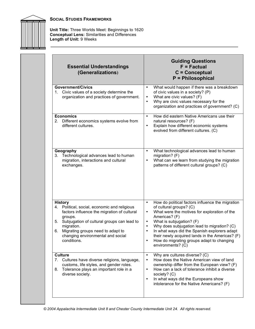

| <b>Essential Understandings</b><br>(Generalizations)                                                                                                                                                                                                                                         | <b>Guiding Questions</b><br>$F = Factorual$<br>$C =$ Conceptual<br>P = Philosophical                                                                                                                                                                                                                                                                                                                                                |
|----------------------------------------------------------------------------------------------------------------------------------------------------------------------------------------------------------------------------------------------------------------------------------------------|-------------------------------------------------------------------------------------------------------------------------------------------------------------------------------------------------------------------------------------------------------------------------------------------------------------------------------------------------------------------------------------------------------------------------------------|
| <b>Government/Civics</b><br>1. Civic values of a society determine the<br>organization and practices of government.                                                                                                                                                                          | What would happen if there was a breakdown<br>$\bullet$<br>of civic values in a society? (P)<br>What are civic values? (F)<br>٠<br>Why are civic values necessary for the<br>organization and practices of government? (C)                                                                                                                                                                                                          |
| <b>Economics</b><br>Different economics systems evolve from<br>2.<br>different cultures.                                                                                                                                                                                                     | How did eastern Native Americans use their<br>$\bullet$<br>natural resources? (F)<br>Explain how different economic systems<br>evolved from different cultures. (C)                                                                                                                                                                                                                                                                 |
| Geography<br>3. Technological advances lead to human<br>migration, interactions and cultural<br>exchanges.                                                                                                                                                                                   | $\bullet$<br>What technological advances lead to human<br>migration? (F)<br>What can we learn from studying the migration<br>patterns of different cultural groups? (C)                                                                                                                                                                                                                                                             |
| <b>History</b><br>Political, social, economic and religious<br>4.<br>factors influence the migration of cultural<br>groups.<br>Subjugation of cultural groups can lead to<br>5.<br>migration.<br>Migrating groups need to adapt to<br>6.<br>changing environmental and social<br>conditions. | How do political factors influence the migration<br>$\bullet$<br>of cultural groups? (C)<br>What were the motives for exploration of the<br>$\bullet$<br>Americas? (F)<br>What is subjugation? (F)<br>$\bullet$<br>Why does subjugation lead to migration? (C)<br>In what ways did the Spanish explorers adapt<br>their newly acquired lands in the Americas? (F)<br>How do migrating groups adapt to changing<br>environments? (C) |
| <b>Culture</b><br>Cultures have diverse religions, language,<br>7.<br>customs, life styles, and gender roles.<br>Tolerance plays an important role in a<br>8.<br>diverse society.                                                                                                            | Why are cultures diverse? (C)<br>$\bullet$<br>How does the Native American view of land<br>$\bullet$<br>ownership differ from the European view? (F)<br>How can a lack of tolerance inhibit a diverse<br>$\bullet$<br>society? (C)<br>In what ways did the Europeans show<br>$\bullet$<br>intolerance for the Native Americans? (F)                                                                                                 |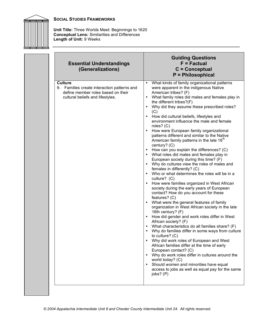

| <b>Essential Understandings</b><br>(Generalizations)                                                                                    | <b>Guiding Questions</b><br>$F = Factorual$<br>$C =$ Conceptual<br><b>P</b> = Philosophical                                                                                                                                                                                                                                                                                                                                                                                                                                                                                                                                                                                                                                                                                                                                                                                                                                                                                                                                                                                                                                                                                                                                                                                                                                                                                                                                                                                                                                                                                                                                  |
|-----------------------------------------------------------------------------------------------------------------------------------------|------------------------------------------------------------------------------------------------------------------------------------------------------------------------------------------------------------------------------------------------------------------------------------------------------------------------------------------------------------------------------------------------------------------------------------------------------------------------------------------------------------------------------------------------------------------------------------------------------------------------------------------------------------------------------------------------------------------------------------------------------------------------------------------------------------------------------------------------------------------------------------------------------------------------------------------------------------------------------------------------------------------------------------------------------------------------------------------------------------------------------------------------------------------------------------------------------------------------------------------------------------------------------------------------------------------------------------------------------------------------------------------------------------------------------------------------------------------------------------------------------------------------------------------------------------------------------------------------------------------------------|
| <b>Culture</b><br>9. Families create interaction patterns and<br>define member roles based on their<br>cultural beliefs and lifestyles. | What kinds of family organizational patterns<br>were apparent in the indigenous Native<br>American tribes? (F)<br>What family roles did males and females play in<br>the different tribes?(F)<br>Why did they assume these prescribed roles?<br>(C)<br>How did cultural beliefs, lifestyles and<br>$\bullet$<br>environment influence the male and female<br>roles? $(C)$<br>How were European family organizational<br>patterns different and similar to the Native<br>American family patterns in the late 16 <sup>th</sup><br>century? (C)<br>How can you explain the differences? (C)<br>What roles did males and females play in<br>European society during this time? (F)<br>• Why do cultures view the roles of males and<br>females in differently? (C)<br>• Who or what determines the roles will be in a<br>culture? (C)<br>How were families organized in West African<br>society during the early years of European<br>contact? How do you account for these<br>features? (C)<br>What were the general features of family<br>organization in West African society in the late<br>16th century? (F)<br>How did gender and work roles differ in West<br>African society? (F)<br>• What characteristics do all families share? (F)<br>Why do families differ in some ways from culture<br>to culture? $(C)$<br>Why did work roles of European and West<br>African families differ at the time of early<br>European contact? (C)<br>• Why do work roles differ in cultures around the<br>world today? (C)<br>Should women and minorities have equal<br>access to jobs as well as equal pay for the same<br>jobs? (P) |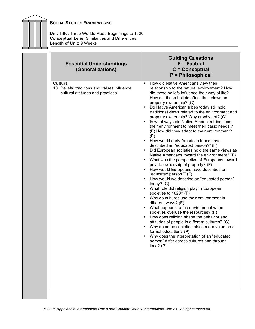

| <b>Essential Understandings</b><br>(Generalizations)                                                | <b>Guiding Questions</b><br>$F = Factorual$<br>$C =$ Conceptual<br><b>P</b> = Philosophical                                                                                                                                                                                                                                                                                                                                                                                                                                                                                                                                                                                                                                                                                                                                                                                                                                                                                                                                                                                                                                                                                                                                                                                                                                                                                                                                                                                                                                                |
|-----------------------------------------------------------------------------------------------------|--------------------------------------------------------------------------------------------------------------------------------------------------------------------------------------------------------------------------------------------------------------------------------------------------------------------------------------------------------------------------------------------------------------------------------------------------------------------------------------------------------------------------------------------------------------------------------------------------------------------------------------------------------------------------------------------------------------------------------------------------------------------------------------------------------------------------------------------------------------------------------------------------------------------------------------------------------------------------------------------------------------------------------------------------------------------------------------------------------------------------------------------------------------------------------------------------------------------------------------------------------------------------------------------------------------------------------------------------------------------------------------------------------------------------------------------------------------------------------------------------------------------------------------------|
| <b>Culture</b><br>10. Beliefs, traditions and values influence<br>cultural attitudes and practices. | How did Native Americans view their<br>$\bullet$<br>relationship to the natural environment? How<br>did these beliefs influence their way of life?<br>How did these beliefs affect their views on<br>property ownership? (C)<br>Do Native American tribes today still hold<br>$\bullet$<br>traditional views related to the environment and<br>property ownership? Why or why not? (C)<br>In what ways did Native American tribes use<br>their environment to meet their basic needs.?<br>(F) How did they adapt to their environment?<br>(F)<br>How would early American tribes have<br>$\bullet$<br>described an "educated person?" (F)<br>Did European societies hold the same views as<br>$\bullet$<br>Native Americans toward the environment? (F)<br>What was the perspective of Europeans toward<br>$\bullet$<br>private ownership of property? (F)<br>How would Europeans have described an<br>$\bullet$<br>"educated person?" (F)<br>How would we describe an "educated person"<br>today? $(C)$<br>What role did religion play in European<br>societies to 1620? (F)<br>Why do cultures use their environment in<br>different ways? (F)<br>What happens to the environment when<br>$\bullet$<br>societies overuse the resources? (F)<br>How does religion shape the behavior and<br>$\bullet$<br>attitudes of people in different cultures? (C)<br>Why do some societies place more value on a<br>formal education? (P)<br>Why does the interpretation of an "educated<br>person" differ across cultures and through<br>time? (P) |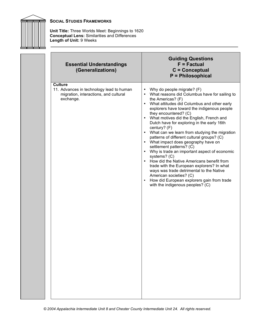

| <b>Essential Understandings</b><br>(Generalizations)                                                             | <b>Guiding Questions</b><br>$F = Factorual$<br>$C =$ Conceptual<br>P = Philosophical                                                                                                                                                                                                                                                                                                                                                                                                                                                                                                                                                                                                                                                                                                                                                                                                          |
|------------------------------------------------------------------------------------------------------------------|-----------------------------------------------------------------------------------------------------------------------------------------------------------------------------------------------------------------------------------------------------------------------------------------------------------------------------------------------------------------------------------------------------------------------------------------------------------------------------------------------------------------------------------------------------------------------------------------------------------------------------------------------------------------------------------------------------------------------------------------------------------------------------------------------------------------------------------------------------------------------------------------------|
| <b>Culture</b><br>11. Advances in technology lead to human<br>migration, interactions, and cultural<br>exchange. | Why do people migrate? (F)<br>$\bullet$<br>What reasons did Columbus have for sailing to<br>the Americas? (F)<br>What attitudes did Columbus and other early<br>$\bullet$<br>explorers have toward the indigenous people<br>they encountered? (C)<br>• What motives did the English, French and<br>Dutch have for exploring in the early 16th<br>century? (F)<br>• What can we learn from studying the migration<br>patterns of different cultural groups? (C)<br>• What impact does geography have on<br>settlement patterns? (C)<br>Why is trade an important aspect of economic<br>$\bullet$<br>systems? (C)<br>How did the Native Americans benefit from<br>$\bullet$<br>trade with the European explorers? In what<br>ways was trade detrimental to the Native<br>American societies? (C)<br>How did European explorers gain from trade<br>$\bullet$<br>with the indigenous peoples? (C) |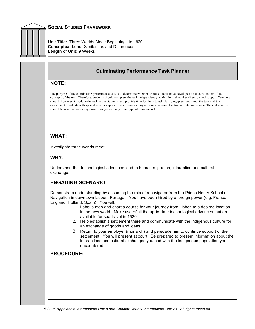

**Unit Title:** Three Worlds Meet: Beginnings to 1620 **Conceptual Lens:** Similarities and Differences **Length of Unit:** 9 Weeks

# **Culminating Performance Task Planner**

## **NOTE:**

The purpose of the culminating performance task is to determine whether or not students have developed an understanding of the concepts of the unit. Therefore, students should complete the task independently, with minimal teacher direction and support. Teachers should, however, introduce the task to the students, and provide time for them to ask clarifying questions about the task and the assessment. Students with special needs or special circumstances may require some modification or extra assistance. These decisions should be made on a case-by-case basis (as with any other type of assignment).

## **WHAT:**

Investigate three worlds meet.

## **WHY:**

Understand that technological advances lead to human migration, interaction and cultural exchange.

# **ENGAGING SCENARIO:**

Demonstrate understanding by assuming the role of a navigator from the Prince Henry School of Navigation in downtown Lisbon, Portugal. You have been hired by a foreign power (e.g. France, England, Holland, Spain). You will:

- 1. Label a map and chart a course for your journey from Lisbon to a desired location in the new world. Make use of all the up-to-date technological advances that are available for sea travel in 1620.
- 2. Help establish a settlement there and communicate with the indigenous culture for an exchange of goods and ideas.
- 3. Return to your employer (monarch) and persuade him to continue support of the settlement. You will present at court. Be prepared to present information about the interactions and cultural exchanges you had with the indigenous population you encountered.

# **PROCEDURE:**